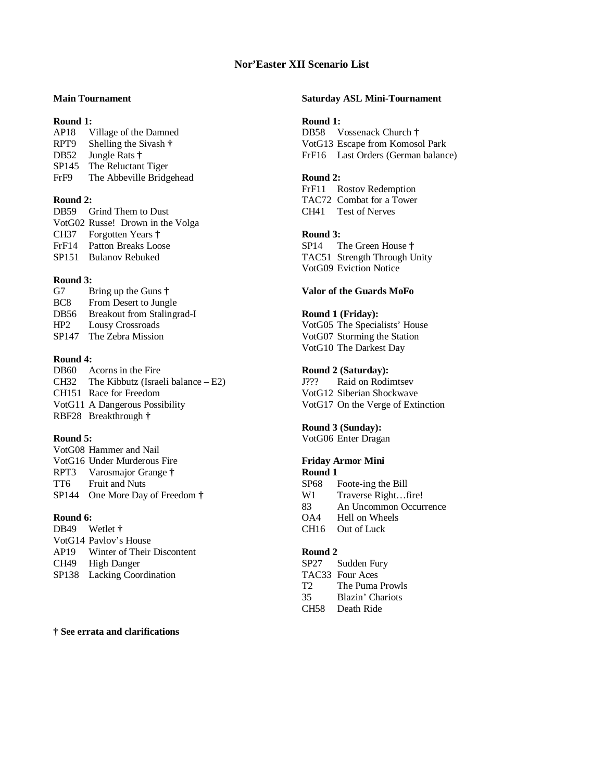# **Nor'Easter XII Scenario List**

AP18 Village of the Damned DB58 Vossenack Church **†** SP145 The Reluctant Tiger FrF9 The Abbeville Bridgehead **Round 2:** 

DB59 Grind Them to Dust CH41 Test of Nerves VotG02 Russe! Drown in the Volga CH37 Forgotten Years **† Round 3:**  FrF14 Patton Breaks Loose SP14 The Green House **†** SP151 Bulanov Rebuked TAC51 Strength Through Unity

### **Round 3:**

| G <sub>7</sub>    | Bring up the Guns $\dagger$ |
|-------------------|-----------------------------|
| BC <sub>8</sub>   | From Desert to Jungle       |
| DB <sub>56</sub>  | Breakout from Stalingrad-   |
| HP2               | Lousy Crossroads            |
| SP <sub>147</sub> | The Zebra Mission           |

## **Round 4:**

DB60 Acorns in the Fire **Round 2 (Saturday):** CH32 The Kibbutz (Israeli balance – E2) J??? Raid on Rodimtsev CH151 Race for Freedom VotG12 Siberian Shockwave VotG11 A Dangerous Possibility VotG17 On the Verge of Extinction RBF28 Breakthrough **†**

VotG08 Hammer and Nail VotG16 Under Murderous Fire **Friday Armor Mini** RPT3 Varosmajor Grange **† Round 1** TT6 Fruit and Nuts SP68 Foote-ing the Bill SP144 One More Day of Freedom **†** W1 Traverse Right…fire!

DB49 Wetlet **†** CH16 Out of Luck VotG14 Pavlov's House AP19 Winter of Their Discontent **Round 2** CH49 High Danger SP27 Sudden Fury<br>SP138 Lacking Coordination SP27 Sudden Fury<br>TAC33 Four Aces SP138 Lacking Coordination

**† See errata and clarifications** 

# **Main Tournament Saturday ASL Mini-Tournament**

### **Round 1: Round 1:**

RPT9 Shelling the Sivash  $\dagger$  **VotG13** Escape from Komosol Park DB52 Jungle Rats **†** FrF16 Last Orders (German balance)

 FrF11 Rostov Redemption **Round 2:** TAC72 Combat for a Tower

VotG09 Eviction Notice

### Valor of the Guards MoFo

### **DESETE:** Round 1 (Friday):

VotG05 The Specialists' House VotG07 Storming the Station VotG10 The Darkest Day

# **Round 5:**<br>**Round 5:**<br>VotG06 Enter Drag

VotG06 Enter Dragan

 83 An Uncommon Occurrence **Round 6: COA4** Hell on Wheels

 T2 The Puma Prowls 35 Blazin' Chariots CH58 Death Ride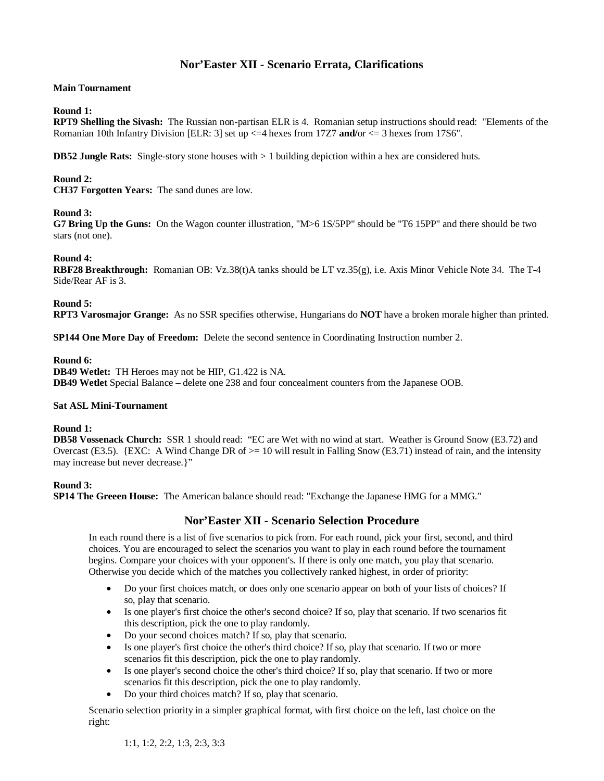# **Nor'Easter XII - Scenario Errata, Clarifications**

# **Main Tournament**

## **Round 1:**

**RPT9 Shelling the Sivash:** The Russian non-partisan ELR is 4. Romanian setup instructions should read: "Elements of the Romanian 10th Infantry Division [ELR: 3] set up <=4 hexes from 17Z7 **and/**or <= 3 hexes from 17S6".

**DB52 Jungle Rats:** Single-story stone houses with  $> 1$  building depiction within a hex are considered huts.

# **Round 2:**

**CH37 Forgotten Years:** The sand dunes are low.

# **Round 3:**

**G7 Bring Up the Guns:** On the Wagon counter illustration, "M>6 1S/5PP" should be "T6 15PP" and there should be two stars (not one).

# **Round 4:**

**RBF28 Breakthrough:** Romanian OB: Vz.38(t)A tanks should be LT vz.35(g), i.e. Axis Minor Vehicle Note 34. The T-4 Side/Rear AF is 3.

**Round 5:** 

**RPT3 Varosmajor Grange:** As no SSR specifies otherwise, Hungarians do **NOT** have a broken morale higher than printed.

**SP144 One More Day of Freedom:** Delete the second sentence in Coordinating Instruction number 2.

### **Round 6:**

**DB49 Wetlet:** TH Heroes may not be HIP, G1.422 is NA. **DB49 Wetlet** Special Balance – delete one 238 and four concealment counters from the Japanese OOB.

### **Sat ASL Mini-Tournament**

### **Round 1:**

**DB58 Vossenack Church:** SSR 1 should read: "EC are Wet with no wind at start. Weather is Ground Snow (E3.72) and Overcast (E3.5). {EXC: A Wind Change DR of  $> = 10$  will result in Falling Snow (E3.71) instead of rain, and the intensity may increase but never decrease.}"

# **Round 3:**

**SP14 The Greeen House:** The American balance should read: "Exchange the Japanese HMG for a MMG."

# **Nor'Easter XII - Scenario Selection Procedure**

In each round there is a list of five scenarios to pick from. For each round, pick your first, second, and third choices. You are encouraged to select the scenarios you want to play in each round before the tournament begins. Compare your choices with your opponent's. If there is only one match, you play that scenario. Otherwise you decide which of the matches you collectively ranked highest, in order of priority:

- Do your first choices match, or does only one scenario appear on both of your lists of choices? If so, play that scenario.
- Is one player's first choice the other's second choice? If so, play that scenario. If two scenarios fit this description, pick the one to play randomly.
- Do your second choices match? If so, play that scenario.
- Is one player's first choice the other's third choice? If so, play that scenario. If two or more scenarios fit this description, pick the one to play randomly.
- Is one player's second choice the other's third choice? If so, play that scenario. If two or more scenarios fit this description, pick the one to play randomly.
- Do your third choices match? If so, play that scenario.

Scenario selection priority in a simpler graphical format, with first choice on the left, last choice on the right: